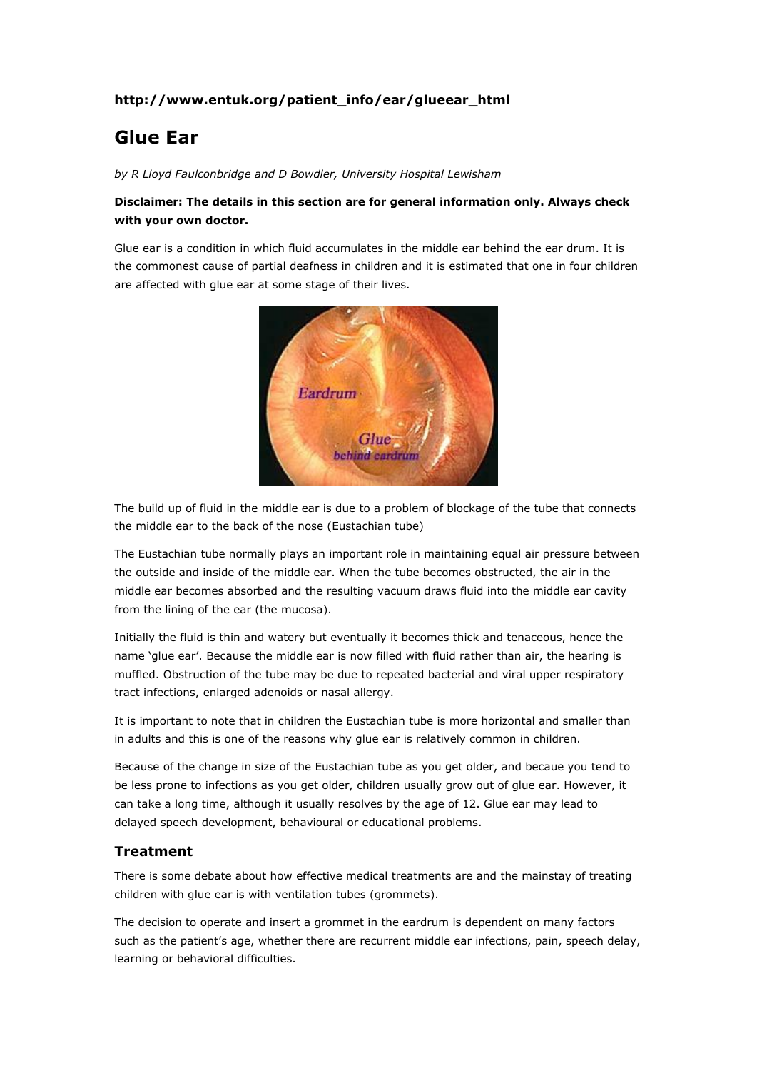## **http://www.entuk.org/patient\_info/ear/glueear\_html**

# **Glue Ear**

*by R Lloyd Faulconbridge and D Bowdler, University Hospital Lewisham*

### **Disclaimer: The details in this section are for general information only. Always check with your own doctor.**

Glue ear is a condition in which fluid accumulates in the middle ear behind the ear drum. It is the commonest cause of partial deafness in children and it is estimated that one in four children are affected with glue ear at some stage of their lives.



The build up of fluid in the middle ear is due to a problem of blockage of the tube that connects the middle ear to the back of the nose (Eustachian tube)

The Eustachian tube normally plays an important role in maintaining equal air pressure between the outside and inside of the middle ear. When the tube becomes obstructed, the air in the middle ear becomes absorbed and the resulting vacuum draws fluid into the middle ear cavity from the lining of the ear (the mucosa).

Initially the fluid is thin and watery but eventually it becomes thick and tenaceous, hence the name 'glue ear'. Because the middle ear is now filled with fluid rather than air, the hearing is muffled. Obstruction of the tube may be due to repeated bacterial and viral upper respiratory tract infections, enlarged adenoids or nasal allergy.

It is important to note that in children the Eustachian tube is more horizontal and smaller than in adults and this is one of the reasons why glue ear is relatively common in children.

Because of the change in size of the Eustachian tube as you get older, and becaue you tend to be less prone to infections as you get older, children usually grow out of glue ear. However, it can take a long time, although it usually resolves by the age of 12. Glue ear may lead to delayed speech development, behavioural or educational problems.

#### **Treatment**

There is some debate about how effective medical treatments are and the mainstay of treating children with glue ear is with ventilation tubes (grommets).

The decision to operate and insert a grommet in the eardrum is dependent on many factors such as the patient's age, whether there are recurrent middle ear infections, pain, speech delay, learning or behavioral difficulties.